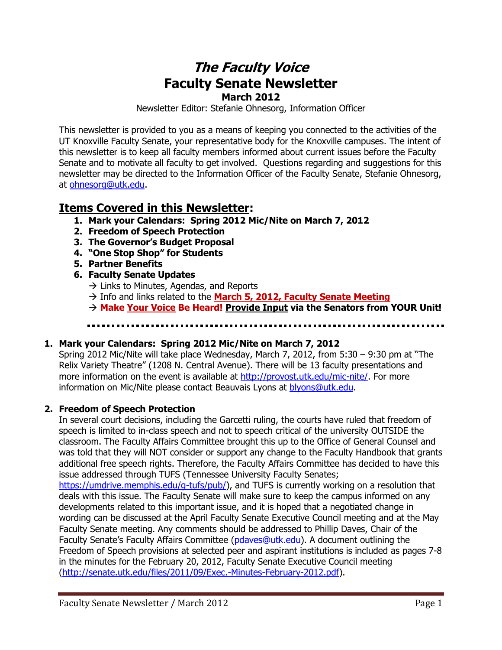# **The Faculty Voice Faculty Senate Newsletter March 2012**

Newsletter Editor: Stefanie Ohnesorg, Information Officer

This newsletter is provided to you as a means of keeping you connected to the activities of the UT Knoxville Faculty Senate, your representative body for the Knoxville campuses. The intent of this newsletter is to keep all faculty members informed about current issues before the Faculty Senate and to motivate all faculty to get involved. Questions regarding and suggestions for this newsletter may be directed to the Information Officer of the Faculty Senate, Stefanie Ohnesorg, at [ohnesorg@utk.edu.](mailto:ohnesorg@utk.edu)

## **Items Covered in this Newsletter:**

- **1. Mark your Calendars: Spring 2012 Mic/Nite on March 7, 2012**
- **2. Freedom of Speech Protection**
- **3. The Governor's Budget Proposal**
- **4. "One Stop Shop" for Students**
- **5. Partner Benefits**
- **6. Faculty Senate Updates** 
	- $\rightarrow$  Links to Minutes, Agendas, and Reports
	- Info and links related to the **March 5, 2012, Faculty Senate Meeting**
	- **Make Your Voice Be Heard! Provide Input via the Senators from YOUR Unit!**

#### **1. Mark your Calendars: Spring 2012 Mic/Nite on March 7, 2012**

Spring 2012 Mic/Nite will take place Wednesday, March 7, 2012, from 5:30 – 9:30 pm at "The Relix Variety Theatre" (1208 N. Central Avenue). There will be 13 faculty presentations and more information on the event is available at [http://provost.utk.edu/mic-nite/.](http://provost.utk.edu/mic-nite/) For more information on Mic/Nite please contact Beauvais Lyons at [blyons@utk.edu.](mailto:blyons@utk.edu)

#### **2. Freedom of Speech Protection**

In several court decisions, including the Garcetti ruling, the courts have ruled that freedom of speech is limited to in-class speech and not to speech critical of the university OUTSIDE the classroom. The Faculty Affairs Committee brought this up to the Office of General Counsel and was told that they will NOT consider or support any change to the Faculty Handbook that grants additional free speech rights. Therefore, the Faculty Affairs Committee has decided to have this issue addressed through TUFS (Tennessee University Faculty Senates;

[https://umdrive.memphis.edu/g-tufs/pub/\)](https://umdrive.memphis.edu/g-tufs/pub/), and TUFS is currently working on a resolution that deals with this issue. The Faculty Senate will make sure to keep the campus informed on any developments related to this important issue, and it is hoped that a negotiated change in wording can be discussed at the April Faculty Senate Executive Council meeting and at the May Faculty Senate meeting. Any comments should be addressed to Phillip Daves, Chair of the Faculty Senate's Faculty Affairs Committee ([pdaves@utk.edu\)](mailto:pdaves@utk.edu). A document outlining the Freedom of Speech provisions at selected peer and aspirant institutions is included as pages 7-8 in the minutes for the February 20, 2012, Faculty Senate Executive Council meeting [\(http://senate.utk.edu/files/2011/09/Exec.-Minutes-February-2012.pdf\)](http://senate.utk.edu/files/2011/09/Exec.-Minutes-February-2012.pdf).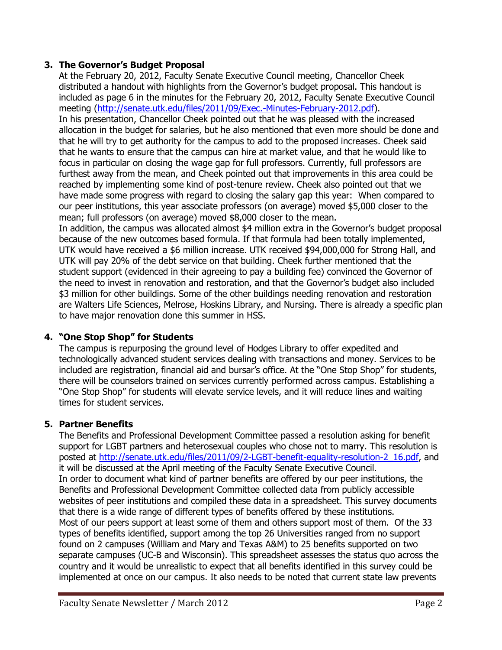#### **3. The Governor's Budget Proposal**

At the February 20, 2012, Faculty Senate Executive Council meeting, Chancellor Cheek distributed a handout with highlights from the Governor's budget proposal. This handout is included as page 6 in the minutes for the February 20, 2012, Faculty Senate Executive Council meeting [\(http://senate.utk.edu/files/2011/09/Exec.-Minutes-February-2012.pdf\)](http://senate.utk.edu/files/2011/09/Exec.-Minutes-February-2012.pdf). In his presentation, Chancellor Cheek pointed out that he was pleased with the increased allocation in the budget for salaries, but he also mentioned that even more should be done and that he will try to get authority for the campus to add to the proposed increases. Cheek said that he wants to ensure that the campus can hire at market value, and that he would like to focus in particular on closing the wage gap for full professors. Currently, full professors are furthest away from the mean, and Cheek pointed out that improvements in this area could be reached by implementing some kind of post-tenure review. Cheek also pointed out that we have made some progress with regard to closing the salary gap this year: When compared to our peer institutions, this year associate professors (on average) moved \$5,000 closer to the mean; full professors (on average) moved \$8,000 closer to the mean. In addition, the campus was allocated almost \$4 million extra in the Governor's budget proposal because of the new outcomes based formula. If that formula had been totally implemented, UTK would have received a \$6 million increase. UTK received \$94,000,000 for Strong Hall, and UTK will pay 20% of the debt service on that building. Cheek further mentioned that the student support (evidenced in their agreeing to pay a building fee) convinced the Governor of the need to invest in renovation and restoration, and that the Governor's budget also included \$3 million for other buildings. Some of the other buildings needing renovation and restoration are Walters Life Sciences, Melrose, Hoskins Library, and Nursing. There is already a specific plan to have major renovation done this summer in HSS.

#### **4. "One Stop Shop" for Students**

The campus is repurposing the ground level of Hodges Library to offer expedited and technologically advanced student services dealing with transactions and money. Services to be included are registration, financial aid and bursar's office. At the "One Stop Shop" for students, there will be counselors trained on services currently performed across campus. Establishing a "One Stop Shop" for students will elevate service levels, and it will reduce lines and waiting times for student services.

#### **5. Partner Benefits**

The Benefits and Professional Development Committee passed a resolution asking for benefit support for LGBT partners and heterosexual couples who chose not to marry. This resolution is posted at [http://senate.utk.edu/files/2011/09/2-LGBT-benefit-equality-resolution-2\\_16.pdf,](http://senate.utk.edu/files/2011/09/2-LGBT-benefit-equality-resolution-2_16.pdf) and it will be discussed at the April meeting of the Faculty Senate Executive Council. In order to document what kind of partner benefits are offered by our peer institutions, the Benefits and Professional Development Committee collected data from publicly accessible websites of peer institutions and compiled these data in a spreadsheet. This survey documents that there is a wide range of different types of benefits offered by these institutions. Most of our peers support at least some of them and others support most of them. Of the 33 types of benefits identified, support among the top 26 Universities ranged from no support found on 2 campuses (William and Mary and Texas A&M) to 25 benefits supported on two separate campuses (UC-B and Wisconsin). This spreadsheet assesses the status quo across the country and it would be unrealistic to expect that all benefits identified in this survey could be implemented at once on our campus. It also needs to be noted that current state law prevents